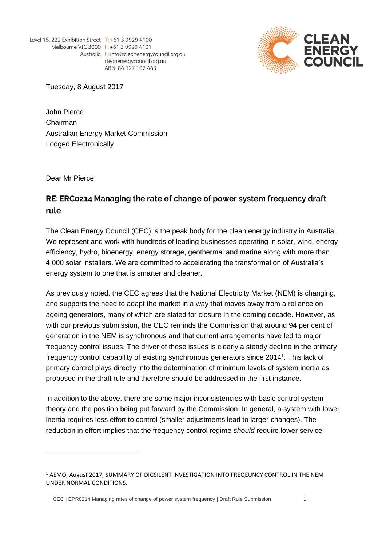Level 15, 222 Exhibition Street T: +61 3 9929 4100 Melbourne VIC 3000 F: +61 3 9929 4101 Australia E: info@cleanenergycouncil.org.au cleanenergycouncil.org.au ABN: 84 127 102 443



Tuesday, 8 August 2017

John Pierce Chairman Australian Energy Market Commission Lodged Electronically

Dear Mr Pierce,

# RE: ERC0214 Managing the rate of change of power system frequency draft rule

The Clean Energy Council (CEC) is the peak body for the clean energy industry in Australia. We represent and work with hundreds of leading businesses operating in solar, wind, energy efficiency, hydro, bioenergy, energy storage, geothermal and marine along with more than 4,000 solar installers. We are committed to accelerating the transformation of Australia's energy system to one that is smarter and cleaner.

As previously noted, the CEC agrees that the National Electricity Market (NEM) is changing, and supports the need to adapt the market in a way that moves away from a reliance on ageing generators, many of which are slated for closure in the coming decade. However, as with our previous submission, the CEC reminds the Commission that around 94 per cent of generation in the NEM is synchronous and that current arrangements have led to major frequency control issues. The driver of these issues is clearly a steady decline in the primary frequency control capability of existing synchronous generators since 2014<sup>1</sup>. This lack of primary control plays directly into the determination of minimum levels of system inertia as proposed in the draft rule and therefore should be addressed in the first instan*c*e.

In addition to the above, there are some major inconsistencies with basic control system theory and the position being put forward by the Commission. In general, a system with lower inertia requires less effort to control (smaller adjustments lead to larger changes). The reduction in effort implies that the frequency control regime *should* require lower service

CEC | EPR0214 Managing rates of change of power system frequency | Draft Rule Submission 1

<sup>&</sup>lt;sup>1</sup> AEMO, August 2017, SUMMARY OF DIGSILENT INVESTIGATION INTO FREQEUNCY CONTROL IN THE NEM UNDER NORMAL CONDITIONS.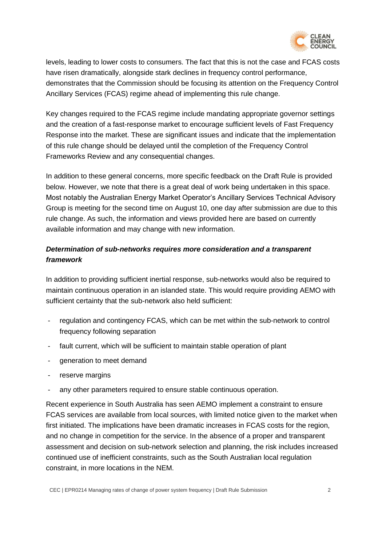

levels, leading to lower costs to consumers. The fact that this is not the case and FCAS costs have risen dramatically, alongside stark declines in frequency control performance, demonstrates that the Commission should be focusing its attention on the Frequency Control Ancillary Services (FCAS) regime ahead of implementing this rule change.

Key changes required to the FCAS regime include mandating appropriate governor settings and the creation of a fast-response market to encourage sufficient levels of Fast Frequency Response into the market. These are significant issues and indicate that the implementation of this rule change should be delayed until the completion of the Frequency Control Frameworks Review and any consequential changes.

In addition to these general concerns, more specific feedback on the Draft Rule is provided below. However, we note that there is a great deal of work being undertaken in this space. Most notably the Australian Energy Market Operator's Ancillary Services Technical Advisory Group is meeting for the second time on August 10, one day after submission are due to this rule change. As such, the information and views provided here are based on currently available information and may change with new information.

## *Determination of sub-networks requires more consideration and a transparent framework*

In addition to providing sufficient inertial response, sub-networks would also be required to maintain continuous operation in an islanded state. This would require providing AEMO with sufficient certainty that the sub-network also held sufficient:

- regulation and contingency FCAS, which can be met within the sub-network to control frequency following separation
- fault current, which will be sufficient to maintain stable operation of plant
- generation to meet demand
- reserve margins
- any other parameters required to ensure stable continuous operation.

Recent experience in South Australia has seen AEMO implement a constraint to ensure FCAS services are available from local sources, with limited notice given to the market when first initiated. The implications have been dramatic increases in FCAS costs for the region, and no change in competition for the service. In the absence of a proper and transparent assessment and decision on sub-network selection and planning, the risk includes increased continued use of inefficient constraints, such as the South Australian local regulation constraint, in more locations in the NEM.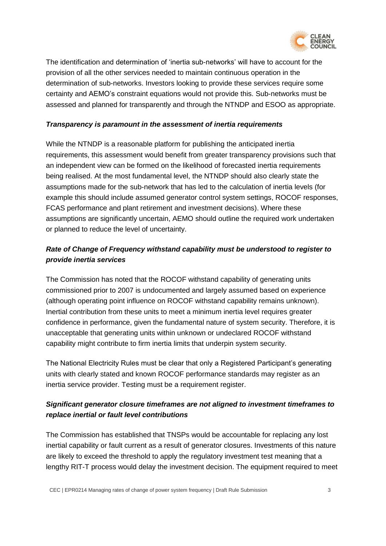

The identification and determination of 'inertia sub-networks' will have to account for the provision of all the other services needed to maintain continuous operation in the determination of sub-networks. Investors looking to provide these services require some certainty and AEMO's constraint equations would not provide this. Sub-networks must be assessed and planned for transparently and through the NTNDP and ESOO as appropriate.

#### *Transparency is paramount in the assessment of inertia requirements*

While the NTNDP is a reasonable platform for publishing the anticipated inertia requirements, this assessment would benefit from greater transparency provisions such that an independent view can be formed on the likelihood of forecasted inertia requirements being realised. At the most fundamental level, the NTNDP should also clearly state the assumptions made for the sub-network that has led to the calculation of inertia levels (for example this should include assumed generator control system settings, ROCOF responses, FCAS performance and plant retirement and investment decisions). Where these assumptions are significantly uncertain, AEMO should outline the required work undertaken or planned to reduce the level of uncertainty.

## *Rate of Change of Frequency withstand capability must be understood to register to provide inertia services*

The Commission has noted that the ROCOF withstand capability of generating units commissioned prior to 2007 is undocumented and largely assumed based on experience (although operating point influence on ROCOF withstand capability remains unknown). Inertial contribution from these units to meet a minimum inertia level requires greater confidence in performance, given the fundamental nature of system security. Therefore, it is unacceptable that generating units within unknown or undeclared ROCOF withstand capability might contribute to firm inertia limits that underpin system security.

The National Electricity Rules must be clear that only a Registered Participant's generating units with clearly stated and known ROCOF performance standards may register as an inertia service provider. Testing must be a requirement register.

## *Significant generator closure timeframes are not aligned to investment timeframes to replace inertial or fault level contributions*

The Commission has established that TNSPs would be accountable for replacing any lost inertial capability or fault current as a result of generator closures. Investments of this nature are likely to exceed the threshold to apply the regulatory investment test meaning that a lengthy RIT-T process would delay the investment decision. The equipment required to meet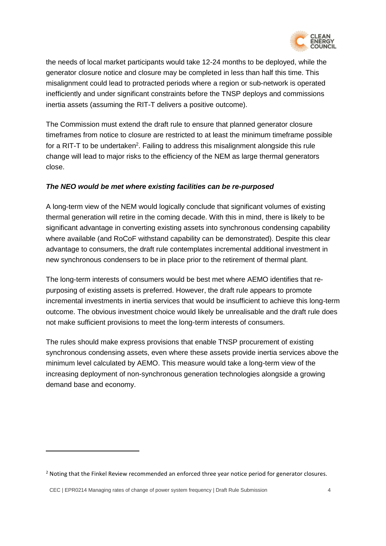

the needs of local market participants would take 12-24 months to be deployed, while the generator closure notice and closure may be completed in less than half this time. This misalignment could lead to protracted periods where a region or sub-network is operated inefficiently and under significant constraints before the TNSP deploys and commissions inertia assets (assuming the RIT-T delivers a positive outcome).

The Commission must extend the draft rule to ensure that planned generator closure timeframes from notice to closure are restricted to at least the minimum timeframe possible for a RIT-T to be undertaken<sup>2</sup>. Failing to address this misalignment alongside this rule change will lead to major risks to the efficiency of the NEM as large thermal generators close.

#### *The NEO would be met where existing facilities can be re-purposed*

A long-term view of the NEM would logically conclude that significant volumes of existing thermal generation will retire in the coming decade. With this in mind, there is likely to be significant advantage in converting existing assets into synchronous condensing capability where available (and RoCoF withstand capability can be demonstrated). Despite this clear advantage to consumers, the draft rule contemplates incremental additional investment in new synchronous condensers to be in place prior to the retirement of thermal plant.

The long-term interests of consumers would be best met where AEMO identifies that repurposing of existing assets is preferred. However, the draft rule appears to promote incremental investments in inertia services that would be insufficient to achieve this long-term outcome. The obvious investment choice would likely be unrealisable and the draft rule does not make sufficient provisions to meet the long-term interests of consumers.

The rules should make express provisions that enable TNSP procurement of existing synchronous condensing assets, even where these assets provide inertia services above the minimum level calculated by AEMO. This measure would take a long-term view of the increasing deployment of non-synchronous generation technologies alongside a growing demand base and economy.

<sup>&</sup>lt;sup>2</sup> Noting that the Finkel Review recommended an enforced three year notice period for generator closures.

CEC | EPR0214 Managing rates of change of power system frequency | Draft Rule Submission 4